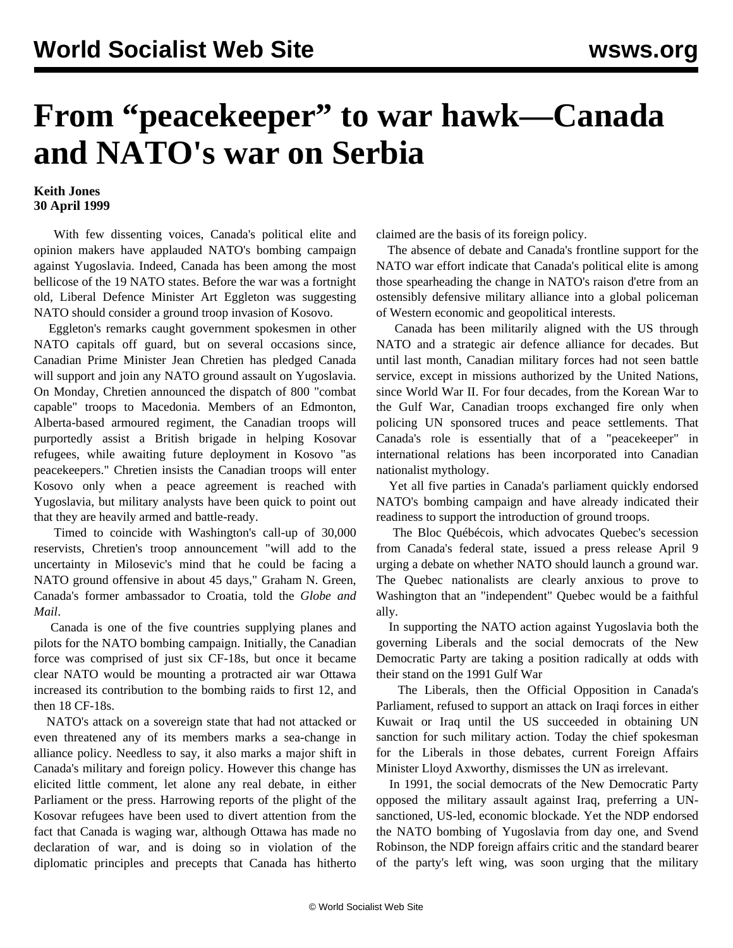## **From "peacekeeper" to war hawk—Canada and NATO's war on Serbia**

## **Keith Jones 30 April 1999**

 With few dissenting voices, Canada's political elite and opinion makers have applauded NATO's bombing campaign against Yugoslavia. Indeed, Canada has been among the most bellicose of the 19 NATO states. Before the war was a fortnight old, Liberal Defence Minister Art Eggleton was suggesting NATO should consider a ground troop invasion of Kosovo.

 Eggleton's remarks caught government spokesmen in other NATO capitals off guard, but on several occasions since, Canadian Prime Minister Jean Chretien has pledged Canada will support and join any NATO ground assault on Yugoslavia. On Monday, Chretien announced the dispatch of 800 "combat capable" troops to Macedonia. Members of an Edmonton, Alberta-based armoured regiment, the Canadian troops will purportedly assist a British brigade in helping Kosovar refugees, while awaiting future deployment in Kosovo "as peacekeepers." Chretien insists the Canadian troops will enter Kosovo only when a peace agreement is reached with Yugoslavia, but military analysts have been quick to point out that they are heavily armed and battle-ready.

 Timed to coincide with Washington's call-up of 30,000 reservists, Chretien's troop announcement "will add to the uncertainty in Milosevic's mind that he could be facing a NATO ground offensive in about 45 days," Graham N. Green, Canada's former ambassador to Croatia, told the *Globe and Mail*.

 Canada is one of the five countries supplying planes and pilots for the NATO bombing campaign. Initially, the Canadian force was comprised of just six CF-18s, but once it became clear NATO would be mounting a protracted air war Ottawa increased its contribution to the bombing raids to first 12, and then 18 CF-18s.

 NATO's attack on a sovereign state that had not attacked or even threatened any of its members marks a sea-change in alliance policy. Needless to say, it also marks a major shift in Canada's military and foreign policy. However this change has elicited little comment, let alone any real debate, in either Parliament or the press. Harrowing reports of the plight of the Kosovar refugees have been used to divert attention from the fact that Canada is waging war, although Ottawa has made no declaration of war, and is doing so in violation of the diplomatic principles and precepts that Canada has hitherto

claimed are the basis of its foreign policy.

 The absence of debate and Canada's frontline support for the NATO war effort indicate that Canada's political elite is among those spearheading the change in NATO's raison d'etre from an ostensibly defensive military alliance into a global policeman of Western economic and geopolitical interests.

 Canada has been militarily aligned with the US through NATO and a strategic air defence alliance for decades. But until last month, Canadian military forces had not seen battle service, except in missions authorized by the United Nations, since World War II. For four decades, from the Korean War to the Gulf War, Canadian troops exchanged fire only when policing UN sponsored truces and peace settlements. That Canada's role is essentially that of a "peacekeeper" in international relations has been incorporated into Canadian nationalist mythology.

 Yet all five parties in Canada's parliament quickly endorsed NATO's bombing campaign and have already indicated their readiness to support the introduction of ground troops.

 The Bloc Québécois, which advocates Quebec's secession from Canada's federal state, issued a press release April 9 urging a debate on whether NATO should launch a ground war. The Quebec nationalists are clearly anxious to prove to Washington that an "independent" Quebec would be a faithful ally.

 In supporting the NATO action against Yugoslavia both the governing Liberals and the social democrats of the New Democratic Party are taking a position radically at odds with their stand on the 1991 Gulf War

 The Liberals, then the Official Opposition in Canada's Parliament, refused to support an attack on Iraqi forces in either Kuwait or Iraq until the US succeeded in obtaining UN sanction for such military action. Today the chief spokesman for the Liberals in those debates, current Foreign Affairs Minister Lloyd Axworthy, dismisses the UN as irrelevant.

 In 1991, the social democrats of the New Democratic Party opposed the military assault against Iraq, preferring a UNsanctioned, US-led, economic blockade. Yet the NDP endorsed the NATO bombing of Yugoslavia from day one, and Svend Robinson, the NDP foreign affairs critic and the standard bearer of the party's left wing, was soon urging that the military